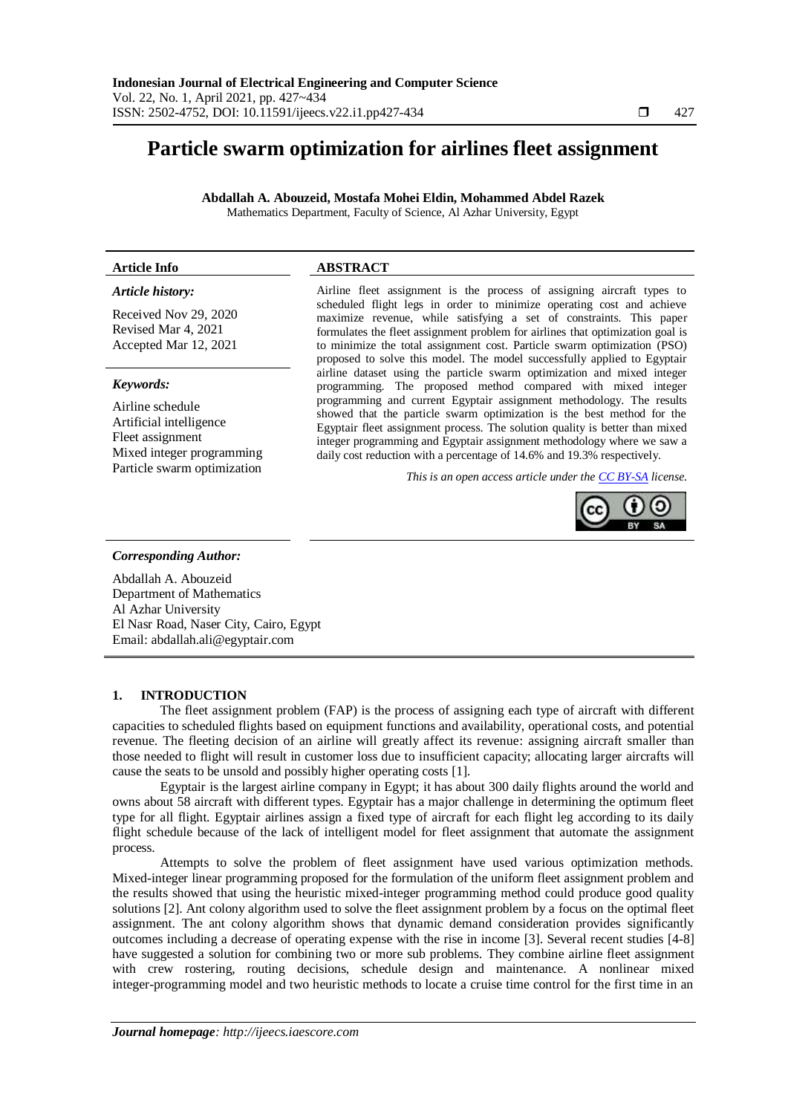# **Particle swarm optimization for airlines fleet assignment**

**Abdallah A. Abouzeid, Mostafa Mohei Eldin, Mohammed Abdel Razek** Mathematics Department, Faculty of Science, Al Azhar University, Egypt

# **Article Info ABSTRACT**

# *Article history:*

Received Nov 29, 2020 Revised Mar 4, 2021 Accepted Mar 12, 2021

## *Keywords:*

Airline schedule Artificial intelligence Fleet assignment Mixed integer programming Particle swarm optimization

Airline fleet assignment is the process of assigning aircraft types to scheduled flight legs in order to minimize operating cost and achieve maximize revenue, while satisfying a set of constraints. This paper formulates the fleet assignment problem for airlines that optimization goal is to minimize the total assignment cost. Particle swarm optimization (PSO) proposed to solve this model. The model successfully applied to Egyptair airline dataset using the particle swarm optimization and mixed integer programming. The proposed method compared with mixed integer programming and current Egyptair assignment methodology. The results showed that the particle swarm optimization is the best method for the Egyptair fleet assignment process. The solution quality is better than mixed integer programming and Egyptair assignment methodology where we saw a daily cost reduction with a percentage of 14.6% and 19.3% respectively.

*This is an open access article under the [CC BY-SA](https://creativecommons.org/licenses/by-sa/4.0/) license.*



#### *Corresponding Author:*

Abdallah A. Abouzeid Department of Mathematics Al Azhar University El Nasr Road, Naser City, Cairo, Egypt Email: abdallah.ali@egyptair.com

## **1. INTRODUCTION**

The fleet assignment problem (FAP) is the process of assigning each type of aircraft with different capacities to scheduled flights based on equipment functions and availability, operational costs, and potential revenue. The fleeting decision of an airline will greatly affect its revenue: assigning aircraft smaller than those needed to flight will result in customer loss due to insufficient capacity; allocating larger aircrafts will cause the seats to be unsold and possibly higher operating costs [1].

Egyptair is the largest airline company in Egypt; it has about 300 daily flights around the world and owns about 58 aircraft with different types. Egyptair has a major challenge in determining the optimum fleet type for all flight. Egyptair airlines assign a fixed type of aircraft for each flight leg according to its daily flight schedule because of the lack of intelligent model for fleet assignment that automate the assignment process.

Attempts to solve the problem of fleet assignment have used various optimization methods. Mixed-integer linear programming proposed for the formulation of the uniform fleet assignment problem and the results showed that using the heuristic mixed-integer programming method could produce good quality solutions [2]. Ant colony algorithm used to solve the fleet assignment problem by a focus on the optimal fleet assignment. The ant colony algorithm shows that dynamic demand consideration provides significantly outcomes including a decrease of operating expense with the rise in income [3]. Several recent studies [4-8] have suggested a solution for combining two or more sub problems. They combine airline fleet assignment with crew rostering, routing decisions, schedule design and maintenance. A nonlinear mixed integer-programming model and two heuristic methods to locate a cruise time control for the first time in an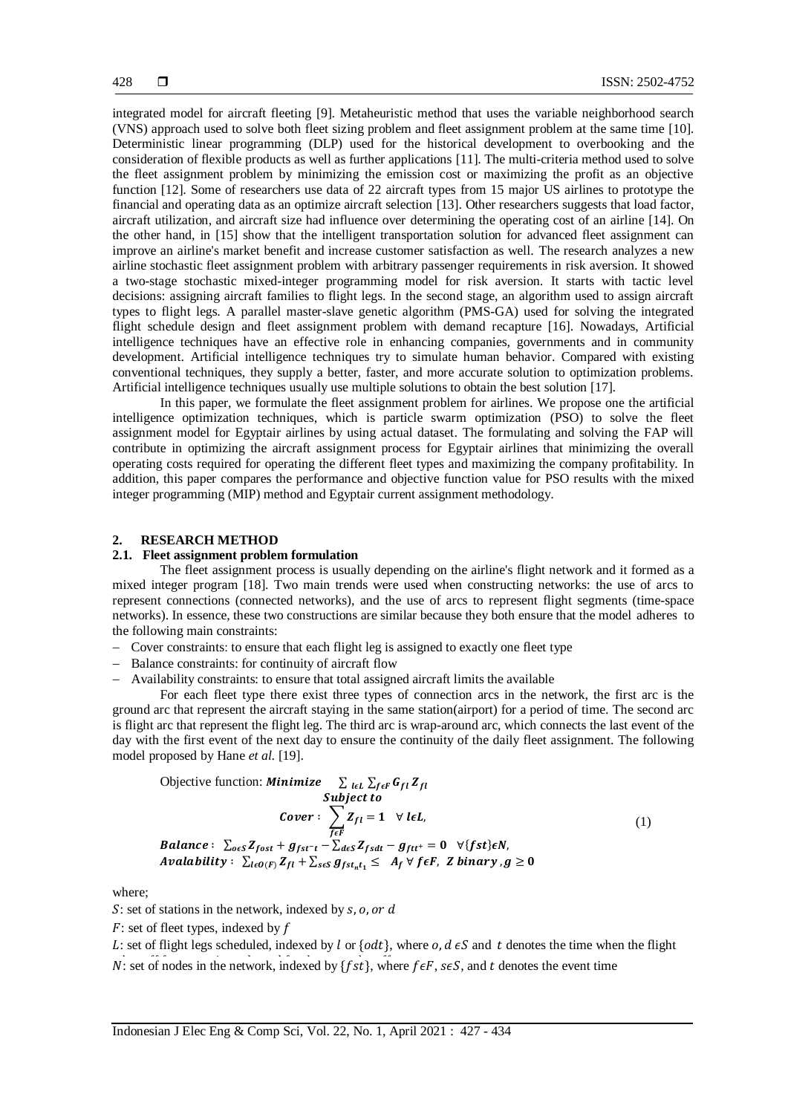integrated model for aircraft fleeting [9]. Metaheuristic method that uses the variable neighborhood search (VNS) approach used to solve both fleet sizing problem and fleet assignment problem at the same time [10]. Deterministic linear programming (DLP) used for the historical development to overbooking and the consideration of flexible products as well as further applications [11]. The multi-criteria method used to solve the fleet assignment problem by minimizing the emission cost or maximizing the profit as an objective function [12]. Some of researchers use data of 22 aircraft types from 15 major US airlines to prototype the financial and operating data as an optimize aircraft selection [13]. Other researchers suggests that load factor, aircraft utilization, and aircraft size had influence over determining the operating cost of an airline [14]. On the other hand, in [15] show that the intelligent transportation solution for advanced fleet assignment can improve an airline's market benefit and increase customer satisfaction as well. The research analyzes a new airline stochastic fleet assignment problem with arbitrary passenger requirements in risk aversion. It showed a two-stage stochastic mixed-integer programming model for risk aversion. It starts with tactic level decisions: assigning aircraft families to flight legs. In the second stage, an algorithm used to assign aircraft types to flight legs. A parallel master-slave genetic algorithm (PMS-GA) used for solving the integrated flight schedule design and fleet assignment problem with demand recapture [16]. Nowadays, Artificial intelligence techniques have an effective role in enhancing companies, governments and in community development. Artificial intelligence techniques try to simulate human behavior. Compared with existing conventional techniques, they supply a better, faster, and more accurate solution to optimization problems. Artificial intelligence techniques usually use multiple solutions to obtain the best solution [17].

In this paper, we formulate the fleet assignment problem for airlines. We propose one the artificial intelligence optimization techniques, which is particle swarm optimization (PSO) to solve the fleet assignment model for Egyptair airlines by using actual dataset. The formulating and solving the FAP will contribute in optimizing the aircraft assignment process for Egyptair airlines that minimizing the overall operating costs required for operating the different fleet types and maximizing the company profitability. In addition, this paper compares the performance and objective function value for PSO results with the mixed integer programming (MIP) method and Egyptair current assignment methodology.

## **2. RESEARCH METHOD**

## **2.1. Fleet assignment problem formulation**

The fleet assignment process is usually depending on the airline's flight network and it formed as a mixed integer program [18]. Two main trends were used when constructing networks: the use of arcs to represent connections (connected networks), and the use of arcs to represent flight segments (time-space networks). In essence, these two constructions are similar because they both ensure that the model adheres to the following main constraints:

- Cover constraints: to ensure that each flight leg is assigned to exactly one fleet type
- Balance constraints: for continuity of aircraft flow
- Availability constraints: to ensure that total assigned aircraft limits the available

For each fleet type there exist three types of connection arcs in the network, the first arc is the ground arc that represent the aircraft staying in the same station(airport) for a period of time. The second arc is flight arc that represent the flight leg. The third arc is wrap-around arc, which connects the last event of the day with the first event of the next day to ensure the continuity of the daily fleet assignment. The following model proposed by Hane *et al*. [19].

Objective function: *Minimize* 
$$
\sum_{l \in L} \sum_{f \in F} G_{fl} Z_{fl}
$$

\n*Subject to*

\n
$$
Cover: \sum_{f \in F} Z_{fl} = 1 \quad \forall l \in L,
$$

\n*Balance:* 
$$
\sum_{o \in S} Z_{fost} + g_{fst-t} - \sum_{d \in S} Z_{fsdt} - g_{ftt} = 0 \quad \forall \{fst\} \in N,
$$

\n*Availableility:* 
$$
\sum_{l \in O(F)} Z_{fl} + \sum_{s \in S} g_{fst_{nt_1}} \leq A_f \forall f \in F, \text{ Z binary}, g \geq 0
$$

where;

S: set of stations in the network, indexed by  $s$ ,  $o$ ,  $or$   $d$ 

 $F$ : set of fleet types, indexed by  $f$ 

L: set of flight legs scheduled, indexed by l or  $\{odt\}$ , where  $o, d \in S$  and t denotes the time when the flight N: set of nodes in the network, indexed by  $\{fst\}$ , where  $\{ef, s \in S$ , and  $t$  denotes the event time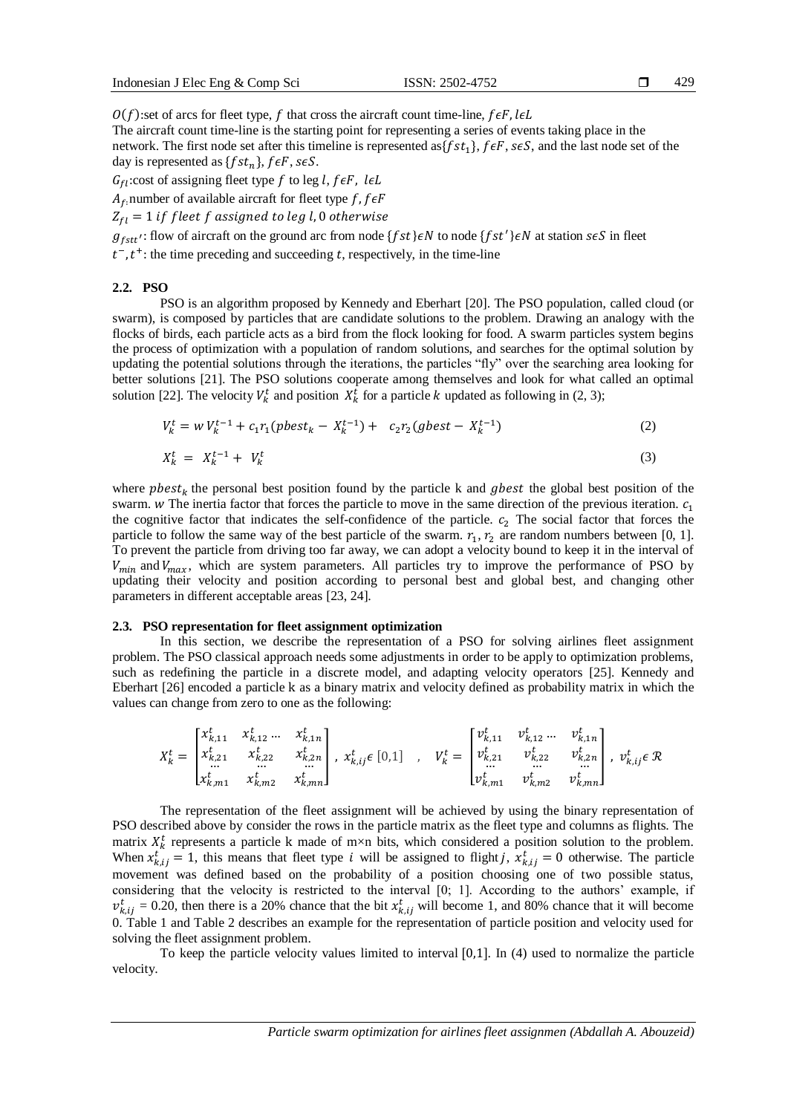429

 $O(f)$ :set of arcs for fleet type, f that cross the aircraft count time-line,  $f \in F$ , leL

The aircraft count time-line is the starting point for representing a series of events taking place in the network. The first node set after this timeline is represented as  $\{fst_1\}$ ,  $\{ \epsilon F, s \epsilon S$ , and the last node set of the day is represented as  $\{fst_n\}$ ,  $\overline{feF}$ ,  $\overline{seS}$ .

 $G_{fl}$ :cost of assigning fleet type f to leg l, feF, leL

 $A_f$ , number of available aircraft for fleet type f, f $\epsilon F$ 

 $Z_{fl} = 1$  if fleet f assigned to leg l, 0 otherwise

 $g_{fst}$ : flow of aircraft on the ground arc from node {f st}  $\epsilon N$  to node {f st'}  $\epsilon N$  at station s $\epsilon S$  in fleet

 $t^{-}$ ,  $t^{+}$ : the time preceding and succeeding t, respectively, in the time-line

#### **2.2. PSO**

PSO is an algorithm proposed by Kennedy and Eberhart [20]. The PSO population, called cloud (or swarm), is composed by particles that are candidate solutions to the problem. Drawing an analogy with the flocks of birds, each particle acts as a bird from the flock looking for food. A swarm particles system begins the process of optimization with a population of random solutions, and searches for the optimal solution by updating the potential solutions through the iterations, the particles "fly" over the searching area looking for better solutions [21]. The PSO solutions cooperate among themselves and look for what called an optimal solution [22]. The velocity  $V_k^t$  and position  $X_k^t$  for a particle k updated as following in (2, 3);

$$
V_k^t = w V_k^{t-1} + c_1 r_1 (pbest_k - X_k^{t-1}) + c_2 r_2 (gbest - X_k^{t-1})
$$
\n(2)

$$
X_k^t = X_k^{t-1} + V_k^t \tag{3}
$$

where  $\mathit{pbest}_k$  the personal best position found by the particle k and  $\mathit{gbest}$  the global best position of the swarm.  $W$  The inertia factor that forces the particle to move in the same direction of the previous iteration.  $c_1$ the cognitive factor that indicates the self-confidence of the particle.  $c_2$  The social factor that forces the particle to follow the same way of the best particle of the swarm.  $r_1$ ,  $r_2$  are random numbers between [0, 1]. To prevent the particle from driving too far away, we can adopt a velocity bound to keep it in the interval of  $V_{min}$  and  $V_{max}$ , which are system parameters. All particles try to improve the performance of PSO by updating their velocity and position according to personal best and global best, and changing other parameters in different acceptable areas [23, 24].

## **2.3. PSO representation for fleet assignment optimization**

In this section, we describe the representation of a PSO for solving airlines fleet assignment problem. The PSO classical approach needs some adjustments in order to be apply to optimization problems, such as redefining the particle in a discrete model, and adapting velocity operators [25]. Kennedy and Eberhart [26] encoded a particle k as a binary matrix and velocity defined as probability matrix in which the values can change from zero to one as the following:

$$
X_{k}^{t} = \begin{bmatrix} x_{k,11}^{t} & x_{k,12}^{t} \dots & x_{k,1n}^{t} \\ x_{k,21}^{t} & x_{k,22}^{t} & x_{k,2n}^{t} \\ \dots & \dots & \dots & \dots \\ x_{k,m1}^{t} & x_{k,m2}^{t} & x_{k,mn}^{t} \end{bmatrix}, x_{k,ij}^{t} \in [0,1] \quad, \quad V_{k}^{t} = \begin{bmatrix} v_{k,11}^{t} & v_{k,12}^{t} \dots & v_{k,1n}^{t} \\ v_{k,21}^{t} & v_{k,22}^{t} & v_{k,2n}^{t} \\ \dots & \dots & \dots \\ v_{k,m1}^{t} & v_{k,m2}^{t} & v_{k,mn}^{t} \end{bmatrix}, v_{k,ij}^{t} \in \mathcal{R}
$$

The representation of the fleet assignment will be achieved by using the binary representation of PSO described above by consider the rows in the particle matrix as the fleet type and columns as flights. The matrix  $X_k^t$  represents a particle k made of m×n bits, which considered a position solution to the problem. When  $x_{k,ij}^t = 1$ , this means that fleet type *i* will be assigned to flight *j*,  $x_{k,ij}^t = 0$  otherwise. The particle movement was defined based on the probability of a position choosing one of two possible status, considering that the velocity is restricted to the interval [0; 1]. According to the authors' example, if  $v_{k,ij}^t = 0.20$ , then there is a 20% chance that the bit  $x_{k,ij}^t$  will become 1, and 80% chance that it will become 0. Table 1 and Table 2 describes an example for the representation of particle position and velocity used for solving the fleet assignment problem.

To keep the particle velocity values limited to interval  $[0,1]$ . In (4) used to normalize the particle velocity.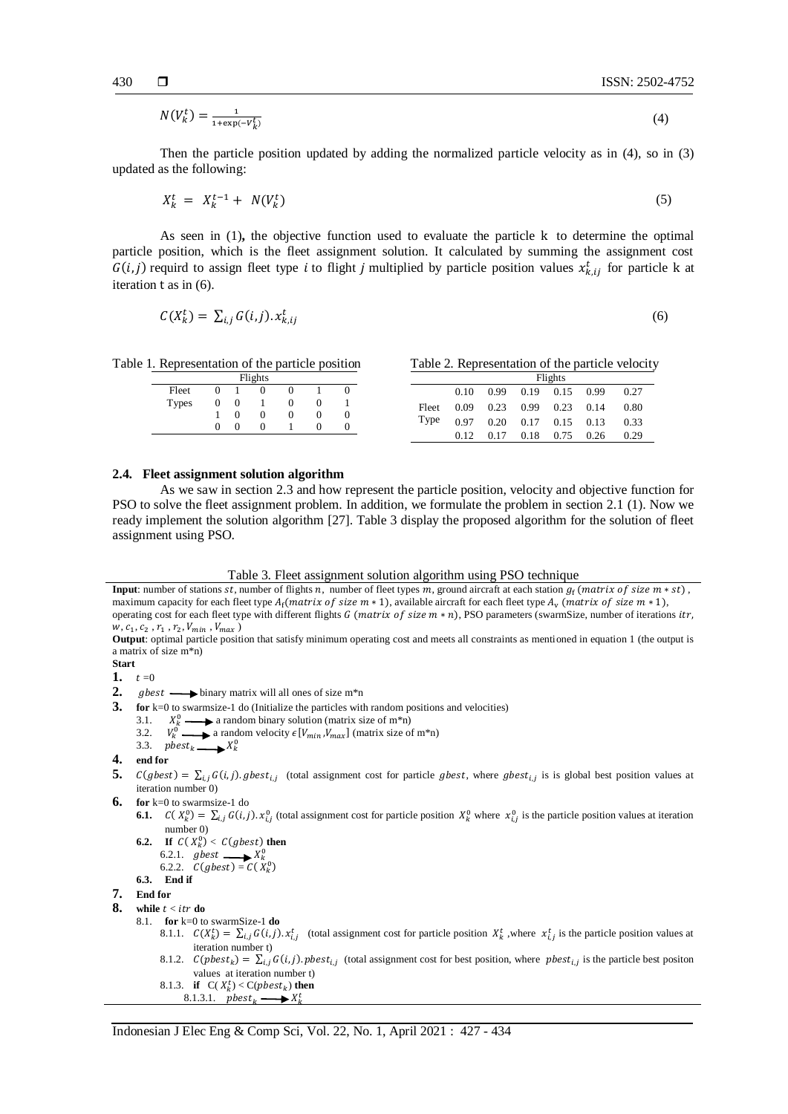$$
N(V_k^t) = \frac{1}{1 + \exp(-V_k^t)}\tag{4}
$$

Then the particle position updated by adding the normalized particle velocity as in (4), so in (3) updated as the following:

$$
X_k^t = X_k^{t-1} + N(V_k^t) \tag{5}
$$

As seen in (1)**,** the objective function used to evaluate the particle k to determine the optimal particle position, which is the fleet assignment solution. It calculated by summing the assignment cost  $G(i, j)$  requird to assign fleet type *i* to flight *j* multiplied by particle position values  $x_{k, ij}^t$  for particle k at iteration t as in (6).

$$
C(X_k^t) = \sum_{i,j} G(i,j). x_{k,ij}^t
$$
\n
$$
(6)
$$

Table 1. Representation of the particle position Table 2. Representation of the particle velocity

Flights Fleet Types 0 1 0 0 1 0 0 0 1 0 0 1 1 0 0 0 0 0 0 0 0 1 0 0

|               | Flights |  |                             |  |  |      |  |  |
|---------------|---------|--|-----------------------------|--|--|------|--|--|
| Fleet<br>Type | 0.10    |  | 0.99 0.19 0.15 0.99         |  |  | 0.27 |  |  |
|               | 0.09    |  | $0.23$ $0.99$ $0.23$ $0.14$ |  |  | 0.80 |  |  |
|               |         |  | 0.97 0.20 0.17 0.15 0.13    |  |  | 0.33 |  |  |
|               | 0.12    |  | $0.17$ $0.18$ $0.75$ $0.26$ |  |  | 0.29 |  |  |

## **2.4. Fleet assignment solution algorithm**

As we saw in section 2.3 and how represent the particle position, velocity and objective function for PSO to solve the fleet assignment problem. In addition, we formulate the problem in section 2.1 (1). Now we ready implement the solution algorithm [27]. Table 3 display the proposed algorithm for the solution of fleet assignment using PSO.

#### Table 3. Fleet assignment solution algorithm using PSO technique

**Input**: number of stations  $st$ , number of flights  $n$ , number of fleet types  $m$ , ground aircraft at each station  $g_f$  (matrix of size  $m * st$ ), maximum capacity for each fleet type  $A_f$ (matrix of size m  $*$  1), available aircraft for each fleet type  $A_v$  (matrix of size m  $*$  1), operating cost for each fleet type with different flights  $G$  (matrix of size  $m * n$ ), PSO parameters (swarmSize, number of iterations itr,  $w, c_1, c_2, r_1, r_2, V_{min}, V_{max}$ )

**Output**: optimal particle position that satisfy minimum operating cost and meets all constraints as mentioned in equation 1 (the output is a matrix of size m\*n)

**Start** 

1.  $t=0$ 

- **2.**  $gbest \longrightarrow binary matrix will all ones of size  $m*n$$
- **3. for** k=0 to swarmsize-1 do (Initialize the particles with random positions and velocities)
	- 3.1.  $X_k^0$  a random binary solution (matrix size of m<sup>\*</sup>n)
	- 3.2.  $V_k^0$  a random velocity  $\epsilon[V_{min}, V_{max}]$  (matrix size of m<sup>\*</sup>n)
	- 3.3.  $pbest_k \longrightarrow X_k^0$
- **4. end for**
- 5.  $C(gbest) = \sum_{i,j} G(i,j)$  ghest<sub>i,j</sub> (total assignment cost for particle ghest, where ghest<sub>i,j</sub> is is global best position values at iteration number 0)
- **6. for** k=0 to swarmsize-1 do
	- **6.1.**  $C(X_k^0) = \sum_{i,j} G(i,j) \cdot x_{i,j}^0$  (total assignment cost for particle position  $X_k^0$  where  $x_{i,j}^0$  is the particle position values at iteration number 0)
	- **6.2. If**  $C(X_k^0) < C(gbest)$  **then** 6.2.1.  $gbest \longrightarrow X_k^0$ 6.2.2.  $C(gbest) = C(X_k^0)$
	- **6.3. End if**

```
7. End for
```
- **8.** while  $t <$  *itr* do
	- 8.1. **for** k=0 to swarmSize-1 **do**
		- 8.1.1.  $C(X_k^t) = \sum_{i,j} G(i,j) \cdot x_{i,j}^t$  (total assignment cost for particle position  $X_k^t$ , where  $x_{i,j}^t$  is the particle position values at iteration number t)
		- 8.1.2.  $C(pbest_k) = \sum_{i,j} G(i,j)$ .  $pbest_{i,j}$  (total assignment cost for best position, where  $pbest_{i,j}$  is the particle best positon values at iteration number t)
		- 8.1.3. **if**  $C(X_k^t) < C($ 8.1.3.1.  $\mathit{pbest}_k \longrightarrow X_k^t$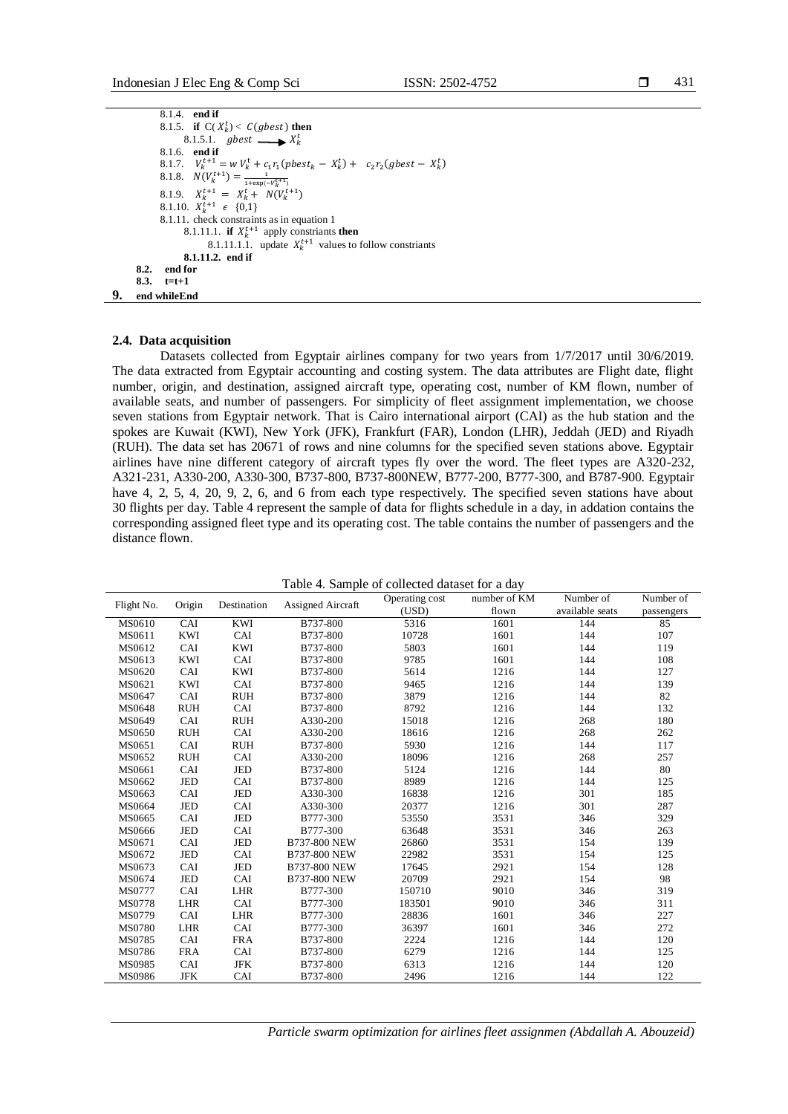431

```
8.1.4. end if
             8.1.5. if C(X_k^t) < C(gbest) then
                   8.1.5.1. gbest \longrightarrow X_k^t8.1.6. end if
             8.1.7. V_k^{t+1} = w V_k^t + c_1 r_1 (pbest_k - X_k^t) + c_2 r_2 (gbest - X_k^t)8.1.8. N(V_k^{t+1}) = \frac{1}{1+\exp(-V_k^{t+1})}8.1.9. X_k^{t+1} = X_k^t + N(V_k^{t+1})8.1.10. X_k^{t+1} \in \{0,1\}8.1.11. check constraints as in equation 1
                   8.1.11.1. if X_k^{t+1} apply constriants then
                         8.1.11.1.1. update X_k^{t+1} values to follow constriants
                   8.1.11.2. end if
      8.2. end for 
      8.3. t=t+1
9. end whileEnd
```
### **2.4. Data acquisition**

Datasets collected from Egyptair airlines company for two years from 1/7/2017 until 30/6/2019. The data extracted from Egyptair accounting and costing system. The data attributes are Flight date, flight number, origin, and destination, assigned aircraft type, operating cost, number of KM flown, number of available seats, and number of passengers. For simplicity of fleet assignment implementation, we choose seven stations from Egyptair network. That is Cairo international airport (CAI) as the hub station and the spokes are Kuwait (KWI), New York (JFK), Frankfurt (FAR), London (LHR), Jeddah (JED) and Riyadh (RUH). The data set has 20671 of rows and nine columns for the specified seven stations above. Egyptair airlines have nine different category of aircraft types fly over the word. The fleet types are A320-232, A321-231, A330-200, A330-300, B737-800, B737-800NEW, B777-200, B777-300, and B787-900. Egyptair have 4, 2, 5, 4, 20, 9, 2, 6, and 6 from each type respectively. The specified seven stations have about 30 flights per day. Table 4 represent the sample of data for flights schedule in a day, in addation contains the corresponding assigned fleet type and its operating cost. The table contains the number of passengers and the distance flown.

|                      |            |             | Table 4. Sample of conected dataset for a day |                |              |                 |            |
|----------------------|------------|-------------|-----------------------------------------------|----------------|--------------|-----------------|------------|
| Origin<br>Flight No. |            | Destination | Assigned Aircraft                             | Operating cost | number of KM | Number of       | Number of  |
|                      |            |             |                                               | (USD)          | flown        | available seats | passengers |
| MS0610               | CAI        | KWI         | B737-800                                      | 5316           | 1601         | 144             | 85         |
| MS0611               | KWI        | CAI         | B737-800                                      | 10728          | 1601         | 144             | 107        |
| MS0612               | CAI        | KWI         | B737-800                                      | 5803           | 1601         | 144             | 119        |
| MS0613               | <b>KWI</b> | CAI         | B737-800                                      | 9785           | 1601         | 144             | 108        |
| MS0620               | CAI        | KWI         | B737-800                                      | 5614           | 1216         | 144             | 127        |
| MS0621               | <b>KWI</b> | CAI         | B737-800                                      | 9465           | 1216         | 144             | 139        |
| MS0647               | CAI        | <b>RUH</b>  | B737-800                                      | 3879           | 1216         | 144             | 82         |
| MS0648               | <b>RUH</b> | CAI         | B737-800                                      | 8792           | 1216         | 144             | 132        |
| MS0649               | CAI        | <b>RUH</b>  | A330-200                                      | 15018          | 1216         | 268             | 180        |
| MS0650               | <b>RUH</b> | CAI         | A330-200                                      | 18616          | 1216         | 268             | 262        |
| MS0651               | CAI        | <b>RUH</b>  | B737-800                                      | 5930           | 1216         | 144             | 117        |
| MS0652               | <b>RUH</b> | CAI         | A330-200                                      | 18096          | 1216         | 268             | 257        |
| MS0661               | CAI        | JED         | B737-800                                      | 5124           | 1216         | 144             | 80         |
| MS0662               | JED        | CAI         | B737-800                                      | 8989           | 1216         | 144             | 125        |
| MS0663               | CAI        | JED         | A330-300                                      | 16838          | 1216         | 301             | 185        |
| MS0664               | JED        | CAI         | A330-300                                      | 20377          | 1216         | 301             | 287        |
| MS0665               | CAI        | JED         | B777-300                                      | 53550          | 3531         | 346             | 329        |
| MS0666               | JED        | CAI         | B777-300                                      | 63648          | 3531         | 346             | 263        |
| MS0671               | CAI        | JED         | B737-800 NEW                                  | 26860          | 3531         | 154             | 139        |
| MS0672               | JED        | CAI         | B737-800 NEW                                  | 22982          | 3531         | 154             | 125        |
| MS0673               | CAI        | <b>JED</b>  | B737-800 NEW                                  | 17645          | 2921         | 154             | 128        |
| MS0674               | JED        | CAI         | B737-800 NEW                                  | 20709          | 2921         | 154             | 98         |
| MS0777               | CAI        | LHR         | B777-300                                      | 150710         | 9010         | 346             | 319        |
| MS0778               | LHR        | CAI         | B777-300                                      | 183501         | 9010         | 346             | 311        |
| MS0779               | CAI        | LHR         | B777-300                                      | 28836          | 1601         | 346             | 227        |
| MS0780               | <b>LHR</b> | CAI         | B777-300                                      | 36397          | 1601         | 346             | 272        |
| MS0785               | CAI        | <b>FRA</b>  | B737-800                                      | 2224           | 1216         | 144             | 120        |
| MS0786               | <b>FRA</b> | CAI         | B737-800                                      | 6279           | 1216         | 144             | 125        |
| MS0985               | CAI        | JFK         | B737-800                                      | 6313           | 1216         | 144             | 120        |
| MS0986               | <b>JFK</b> | CAI         | B737-800                                      | 2496           | 1216         | 144             | 122        |

Table 4. Sample of collected dataset for a day

*Particle swarm optimization for airlines fleet assignmen (Abdallah A. Abouzeid)*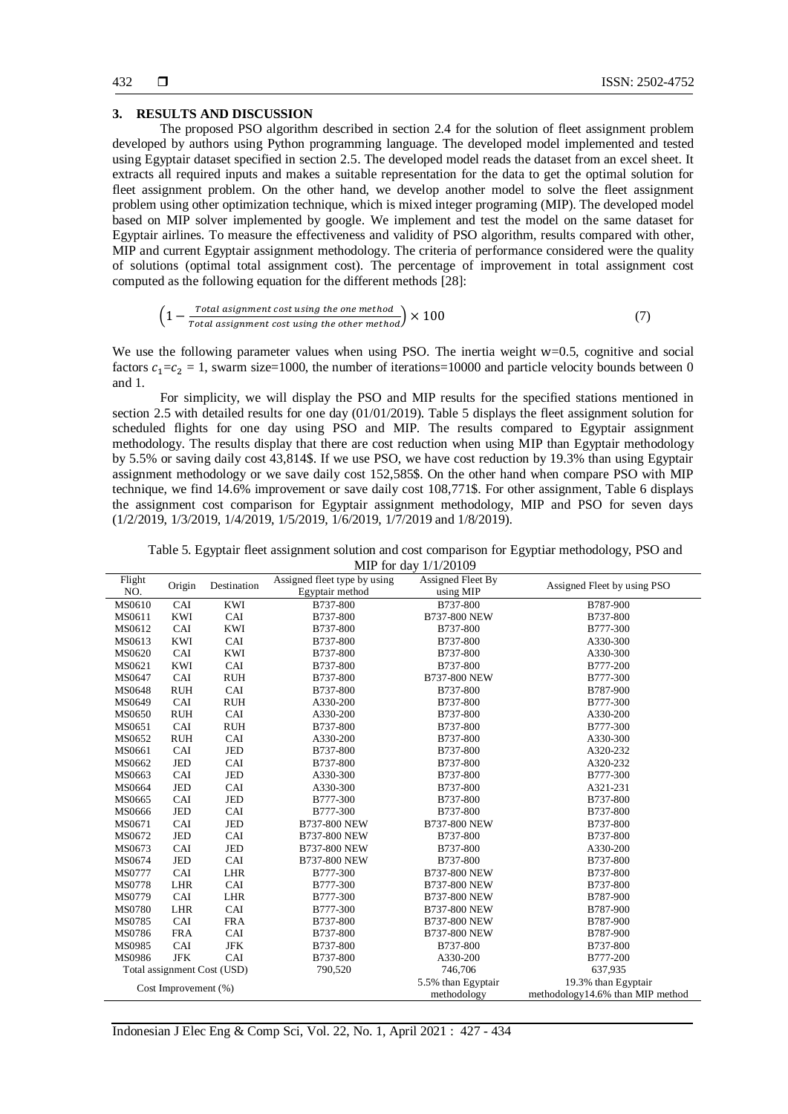## **3. RESULTS AND DISCUSSION**

The proposed PSO algorithm described in section 2.4 for the solution of fleet assignment problem developed by authors using Python programming language. The developed model implemented and tested using Egyptair dataset specified in section 2.5. The developed model reads the dataset from an excel sheet. It extracts all required inputs and makes a suitable representation for the data to get the optimal solution for fleet assignment problem. On the other hand, we develop another model to solve the fleet assignment problem using other optimization technique, which is mixed integer programing (MIP). The developed model based on MIP solver implemented by google. We implement and test the model on the same dataset for Egyptair airlines. To measure the effectiveness and validity of PSO algorithm, results compared with other, MIP and current Egyptair assignment methodology. The criteria of performance considered were the quality of solutions (optimal total assignment cost). The percentage of improvement in total assignment cost computed as the following equation for the different methods [28]:

$$
\left(1 - \frac{Total\ assignment\ cost\ using\ the\ one\ method}{Total\ assignment\ cost\ using\ the\ other\ method}\right) \times 100\tag{7}
$$

We use the following parameter values when using PSO. The inertia weight w=0.5, cognitive and social factors  $c_1 = c_2 = 1$ , swarm size=1000, the number of iterations=10000 and particle velocity bounds between 0 and 1.

For simplicity, we will display the PSO and MIP results for the specified stations mentioned in section 2.5 with detailed results for one day (01/01/2019). Table 5 displays the fleet assignment solution for scheduled flights for one day using PSO and MIP. The results compared to Egyptair assignment methodology. The results display that there are cost reduction when using MIP than Egyptair methodology by 5.5% or saving daily cost 43,814\$. If we use PSO, we have cost reduction by 19.3% than using Egyptair assignment methodology or we save daily cost 152,585\$. On the other hand when compare PSO with MIP technique, we find 14.6% improvement or save daily cost 108,771\$. For other assignment, Table 6 displays the assignment cost comparison for Egyptair assignment methodology, MIP and PSO for seven days (1/2/2019, 1/3/2019, 1/4/2019, 1/5/2019, 1/6/2019, 1/7/2019 and 1/8/2019).

Table 5. Egyptair fleet assignment solution and cost comparison for Egyptiar methodology, PSO and MIP for day 1/1/20109

| Flight<br>Origin<br>NO. |            |                             | $1111$ for $0.44$ $1.12010$<br>Assigned fleet type by using<br>Assigned Fleet By |                     |                                  |
|-------------------------|------------|-----------------------------|----------------------------------------------------------------------------------|---------------------|----------------------------------|
|                         |            | Destination                 | Egyptair method                                                                  | using MIP           | Assigned Fleet by using PSO      |
| MS0610                  | CAI        | <b>KWI</b>                  | B737-800                                                                         | B737-800            | B787-900                         |
| MS0611                  | KWI        | CAI                         | B737-800                                                                         | B737-800 NEW        | B737-800                         |
| MS0612                  | CAI        | <b>KWI</b>                  | B737-800                                                                         | B737-800            | B777-300                         |
| MS0613                  | KWI        | CAI                         | B737-800                                                                         | B737-800            | A330-300                         |
| MS0620                  | CAI        | <b>KWI</b>                  | B737-800                                                                         | B737-800            | A330-300                         |
| MS0621                  | <b>KWI</b> | CAI                         | B737-800                                                                         | B737-800            | B777-200                         |
| MS0647                  | CAI        | <b>RUH</b>                  | B737-800                                                                         | B737-800 NEW        | B777-300                         |
| MS0648                  | <b>RUH</b> | CAI                         | B737-800                                                                         | B737-800            | B787-900                         |
| MS0649                  | CAI        | <b>RUH</b>                  | A330-200                                                                         | B737-800            | B777-300                         |
| MS0650                  | <b>RUH</b> | CAI                         | A330-200                                                                         | B737-800            | A330-200                         |
| MS0651                  | CAI        | <b>RUH</b>                  | B737-800                                                                         | B737-800            | B777-300                         |
| MS0652                  | <b>RUH</b> | CAI                         | A330-200                                                                         | B737-800            | A330-300                         |
| MS0661                  | CAI        | JED                         | B737-800                                                                         | B737-800            | A320-232                         |
| MS0662                  | <b>JED</b> | CAI                         | B737-800                                                                         | B737-800            | A320-232                         |
| MS0663                  | CAI        | <b>JED</b>                  | A330-300                                                                         | B737-800            | B777-300                         |
| MS0664                  | JED        | CAI                         | A330-300                                                                         | B737-800            | A321-231                         |
| MS0665                  | CAI        | <b>JED</b>                  | B777-300                                                                         | B737-800            | B737-800                         |
| MS0666                  | JED        | CAI                         | B777-300                                                                         | B737-800            | B737-800                         |
| MS0671                  | CAI        | JED                         | B737-800 NEW                                                                     | B737-800 NEW        | B737-800                         |
| MS0672                  | <b>JED</b> | CAI                         | B737-800 NEW                                                                     | B737-800            | B737-800                         |
| MS0673                  | CAI        | <b>JED</b>                  | B737-800 NEW                                                                     | B737-800            | A330-200                         |
| MS0674                  | JED        | CAI                         | <b>B737-800 NEW</b>                                                              | B737-800            | B737-800                         |
| MS0777                  | CAI        | LHR                         | B777-300                                                                         | B737-800 NEW        | B737-800                         |
| MS0778                  | LHR        | CAI                         | B777-300                                                                         | <b>B737-800 NEW</b> | B737-800                         |
| MS0779                  | CAI        | LHR                         | B777-300                                                                         | B737-800 NEW        | B787-900                         |
| MS0780                  | LHR        | CAI                         | B777-300                                                                         | B737-800 NEW        | B787-900                         |
| MS0785                  | CAI        | <b>FRA</b>                  | B737-800                                                                         | B737-800 NEW        | B787-900                         |
| MS0786                  | <b>FRA</b> | CAI                         | B737-800                                                                         | B737-800 NEW        | B787-900                         |
| MS0985                  | CAI        | <b>JFK</b>                  | B737-800                                                                         | B737-800            | B737-800                         |
| MS0986                  | <b>JFK</b> | CAI                         | B737-800                                                                         | A330-200            | B777-200                         |
|                         |            | Total assignment Cost (USD) | 790,520                                                                          | 746,706             | 637,935                          |
|                         |            |                             | 5.5% than Egyptair                                                               | 19.3% than Egyptair |                                  |
| Cost Improvement (%)    |            |                             |                                                                                  | methodology         | methodology14.6% than MIP method |

Indonesian J Elec Eng & Comp Sci, Vol. 22, No. 1, April 2021 : 427 - 434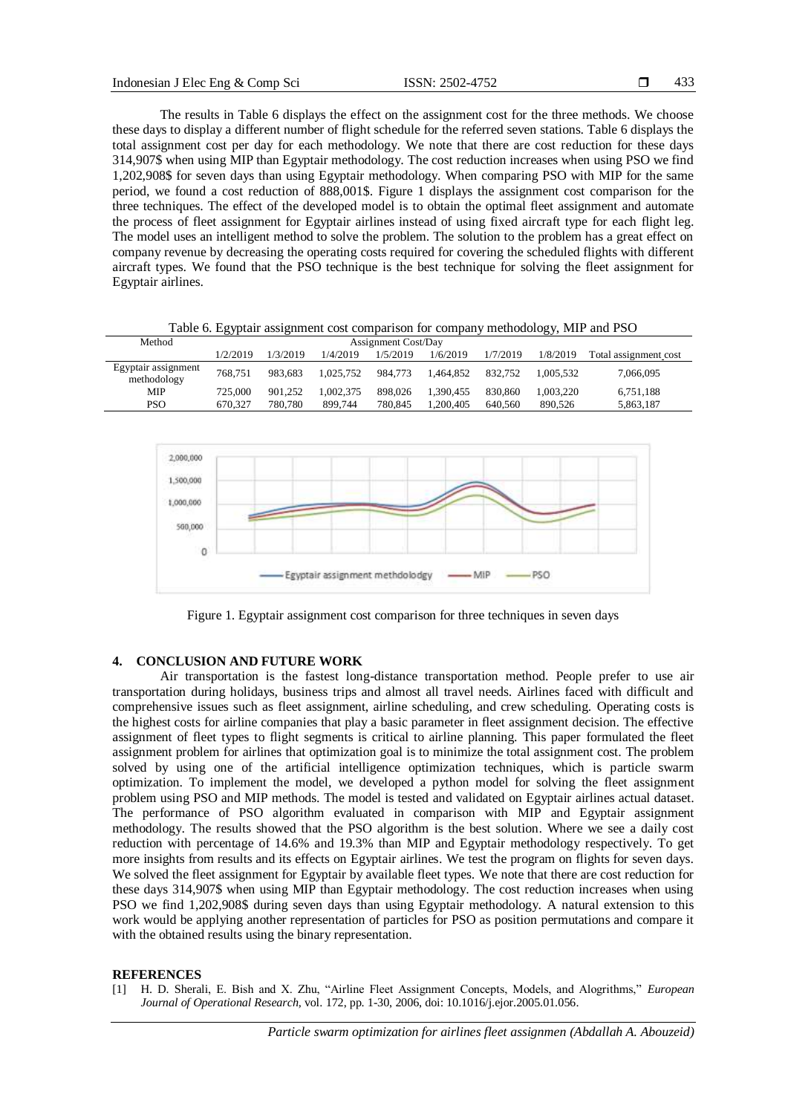The results in Table 6 displays the effect on the assignment cost for the three methods. We choose these days to display a different number of flight schedule for the referred seven stations. Table 6 displays the total assignment cost per day for each methodology. We note that there are cost reduction for these days 314,907\$ when using MIP than Egyptair methodology. The cost reduction increases when using PSO we find 1,202,908\$ for seven days than using Egyptair methodology. When comparing PSO with MIP for the same period, we found a cost reduction of 888,001\$. Figure 1 displays the assignment cost comparison for the three techniques. The effect of the developed model is to obtain the optimal fleet assignment and automate the process of fleet assignment for Egyptair airlines instead of using fixed aircraft type for each flight leg. The model uses an intelligent method to solve the problem. The solution to the problem has a great effect on company revenue by decreasing the operating costs required for covering the scheduled flights with different aircraft types. We found that the PSO technique is the best technique for solving the fleet assignment for Egyptair airlines.

Table 6. Egyptair assignment cost comparison for company methodology, MIP and PSO

| Method                             | <b>Assignment Cost/Day</b> |          |           |          |           |          |           |                       |
|------------------------------------|----------------------------|----------|-----------|----------|-----------|----------|-----------|-----------------------|
|                                    | 1/2/2019                   | 1/3/2019 | 1/4/2019  | 1/5/2019 | 1/6/2019  | 1/7/2019 | 1/8/2019  | Total assignment cost |
| Egyptair assignment<br>methodology | 768.751                    | 983.683  | 1.025.752 | 984.773  | 1.464.852 | 832.752  | 1.005.532 | 7,066,095             |
| MIP                                | 725,000                    | 901.252  | . 002.375 | 898.026  | 1.390.455 | 830.860  | .003.220  | 6,751,188             |
| <b>PSO</b>                         | 670,327                    | 780,780  | 899.744   | 780.845  | .200.405  | 640.560  | 890.526   | 5,863,187             |



Figure 1. Egyptair assignment cost comparison for three techniques in seven days

# **4. CONCLUSION AND FUTURE WORK**

Air transportation is the fastest long-distance transportation method. People prefer to use air transportation during holidays, business trips and almost all travel needs. Airlines faced with difficult and comprehensive issues such as fleet assignment, airline scheduling, and crew scheduling. Operating costs is the highest costs for airline companies that play a basic parameter in fleet assignment decision. The effective assignment of fleet types to flight segments is critical to airline planning. This paper formulated the fleet assignment problem for airlines that optimization goal is to minimize the total assignment cost. The problem solved by using one of the artificial intelligence optimization techniques, which is particle swarm optimization. To implement the model, we developed a python model for solving the fleet assignment problem using PSO and MIP methods. The model is tested and validated on Egyptair airlines actual dataset. The performance of PSO algorithm evaluated in comparison with MIP and Egyptair assignment methodology. The results showed that the PSO algorithm is the best solution. Where we see a daily cost reduction with percentage of 14.6% and 19.3% than MIP and Egyptair methodology respectively. To get more insights from results and its effects on Egyptair airlines. We test the program on flights for seven days. We solved the fleet assignment for Egyptair by available fleet types. We note that there are cost reduction for these days 314,907\$ when using MIP than Egyptair methodology. The cost reduction increases when using PSO we find 1,202,908\$ during seven days than using Egyptair methodology. A natural extension to this work would be applying another representation of particles for PSO as position permutations and compare it with the obtained results using the binary representation.

#### **REFERENCES**

[1] H. D. Sherali, E. Bish and X. Zhu, "Airline Fleet Assignment Concepts, Models, and Alogrithms," *European Journal of Operational Research,* vol. 172, pp. 1-30, 2006, doi: 10.1016/j.ejor.2005.01.056.